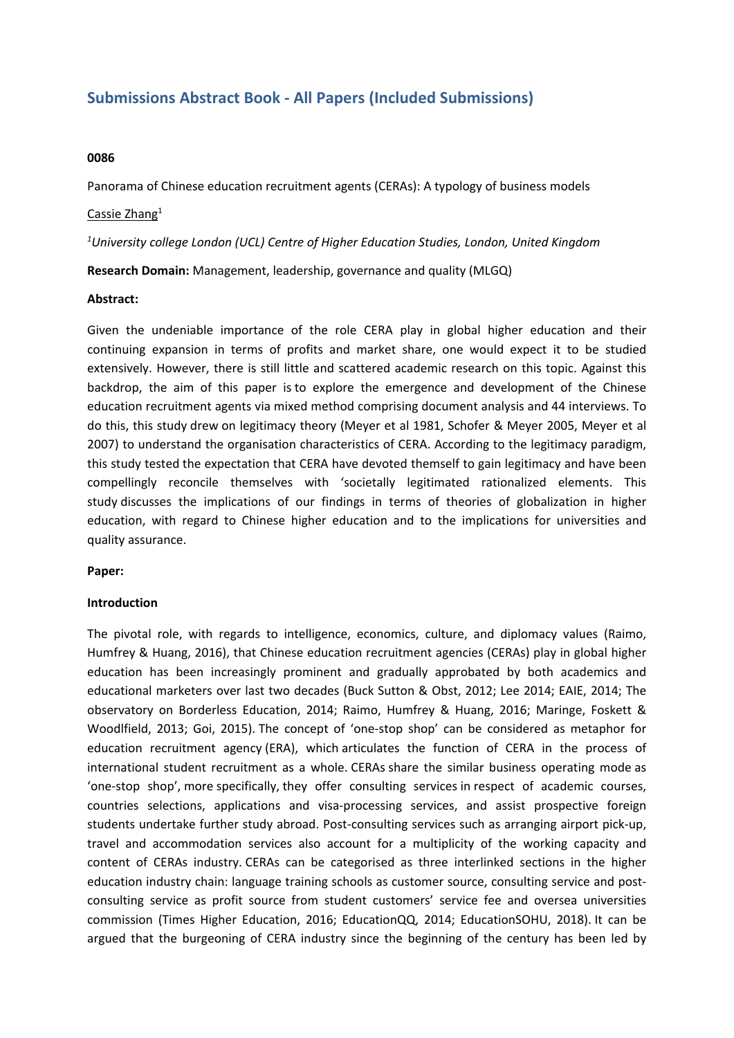# **Submissions Abstract Book - All Papers (Included Submissions)**

### **0086**

Panorama of Chinese education recruitment agents (CERAs): A typology of business models

### Cassie Zhang<sup>1</sup>

*1 University college London (UCL) Centre of Higher Education Studies, London, United Kingdom*

**Research Domain:** Management, leadership, governance and quality (MLGQ)

#### **Abstract:**

Given the undeniable importance of the role CERA play in global higher education and their continuing expansion in terms of profits and market share, one would expect it to be studied extensively. However, there is still little and scattered academic research on this topic. Against this backdrop, the aim of this paper is to explore the emergence and development of the Chinese education recruitment agents via mixed method comprising document analysis and 44 interviews. To do this, this study drew on legitimacy theory (Meyer et al 1981, Schofer & Meyer 2005, Meyer et al 2007) to understand the organisation characteristics of CERA. According to the legitimacy paradigm, this study tested the expectation that CERA have devoted themself to gain legitimacy and have been compellingly reconcile themselves with 'societally legitimated rationalized elements. This study discusses the implications of our findings in terms of theories of globalization in higher education, with regard to Chinese higher education and to the implications for universities and quality assurance.

## **Paper:**

#### **Introduction**

The pivotal role, with regards to intelligence, economics, culture, and diplomacy values (Raimo, Humfrey & Huang, 2016), that Chinese education recruitment agencies (CERAs) play in global higher education has been increasingly prominent and gradually approbated by both academics and educational marketers over last two decades (Buck Sutton & Obst, 2012; Lee 2014; EAIE, 2014; The observatory on Borderless Education, 2014; Raimo, Humfrey & Huang, 2016; Maringe, Foskett & Woodlfield, 2013; Goi, 2015). The concept of 'one-stop shop' can be considered as metaphor for education recruitment agency (ERA), which articulates the function of CERA in the process of international student recruitment as <sup>a</sup> whole. CERAs share the similar business operating mode as 'one-stop shop', more specifically, they offer consulting services in respect of academic courses, countries selections, applications and visa-processing services, and assist prospective foreign students undertake further study abroad. Post-consulting services such as arranging airport pick-up, travel and accommodation services also account for <sup>a</sup> multiplicity of the working capacity and content of CERAs industry. CERAs can be categorised as three interlinked sections in the higher education industry chain: language training schools as customer source, consulting service and postconsulting service as profit source from student customers' service fee and oversea universities commission (Times Higher Education, 2016; EducationQQ, 2014; EducationSOHU, 2018). It can be argued that the burgeoning of CERA industry since the beginning of the century has been led by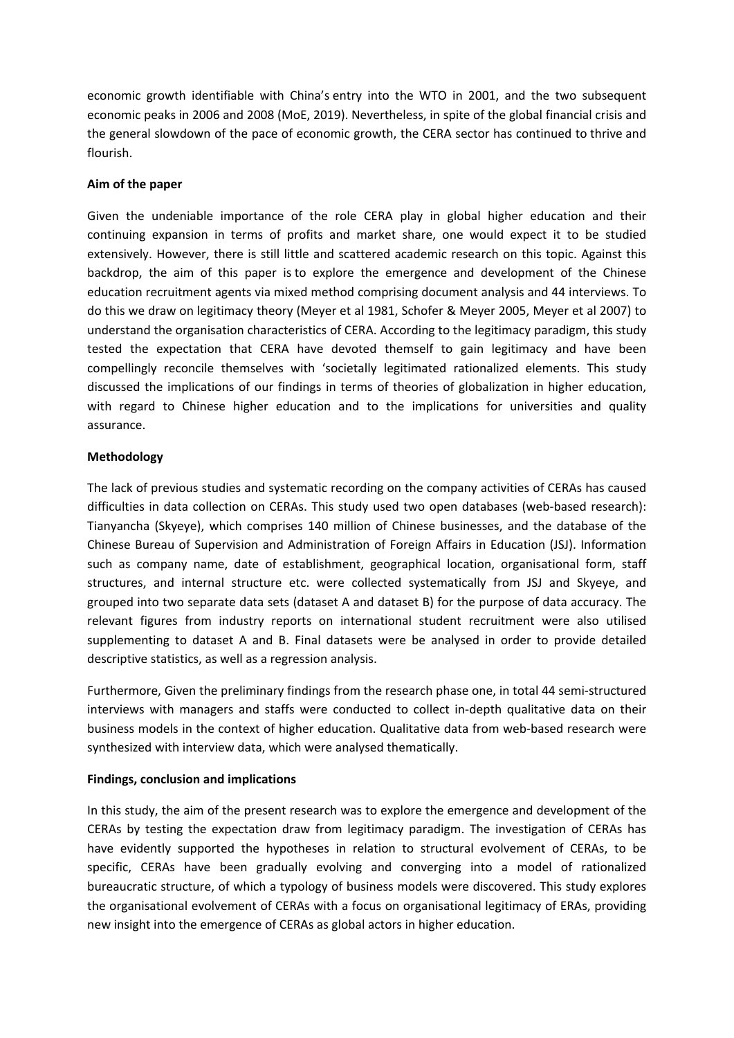economic growth identifiable with China's entry into the WTO in 2001, and the two subsequent economic peaks in 2006 and 2008 (MoE, 2019). Nevertheless, in spite of the global financial crisis and the general slowdown of the pace of economic growth, the CERA sector has continued to thrive and flourish.

# **Aim of the paper**

Given the undeniable importance of the role CERA play in global higher education and their continuing expansion in terms of profits and market share, one would expect it to be studied extensively. However, there is still little and scattered academic research on this topic. Against this backdrop, the aim of this paper is to explore the emergence and development of the Chinese education recruitment agents via mixed method comprising document analysis and 44 interviews. To do this we draw on legitimacy theory (Meyer et al 1981, Schofer & Meyer 2005, Meyer et al 2007) to understand the organisation characteristics of CERA. According to the legitimacy paradigm, this study tested the expectation that CERA have devoted themself to gain legitimacy and have been compellingly reconcile themselves with 'societally legitimated rationalized elements. This study discussed the implications of our findings in terms of theories of globalization in higher education, with regard to Chinese higher education and to the implications for universities and quality assurance.

# **Methodology**

The lack of previous studies and systematic recording on the company activities of CERAs has caused difficulties in data collection on CERAs. This study used two open databases (web-based research): Tianyancha (Skyeye), which comprises 140 million of Chinese businesses, and the database of the Chinese Bureau of Supervision and Administration of Foreign Affairs in Education (JSJ). Information such as company name, date of establishment, geographical location, organisational form, staff structures, and internal structure etc. were collected systematically from JSJ and Skyeye, and grouped into two separate data sets (dataset A and dataset B) for the purpose of data accuracy. The relevant figures from industry reports on international student recruitment were also utilised supplementing to dataset A and B. Final datasets were be analysed in order to provide detailed descriptive statistics, as well as <sup>a</sup> regression analysis.

Furthermore, Given the preliminary findings from the research phase one, in total 44 semi-structured interviews with managers and staffs were conducted to collect in-depth qualitative data on their business models in the context of higher education. Qualitative data from web-based research were synthesized with interview data, which were analysed thematically.

# **Findings, conclusion and implications**

In this study, the aim of the present research was to explore the emergence and development of the CERAs by testing the expectation draw from legitimacy paradigm. The investigation of CERAs has have evidently supported the hypotheses in relation to structural evolvement of CERAs, to be specific, CERAs have been gradually evolving and converging into <sup>a</sup> model of rationalized bureaucratic structure, of which <sup>a</sup> typology of business models were discovered. This study explores the organisational evolvement of CERAs with <sup>a</sup> focus on organisational legitimacy of ERAs, providing new insight into the emergence of CERAs as global actors in higher education.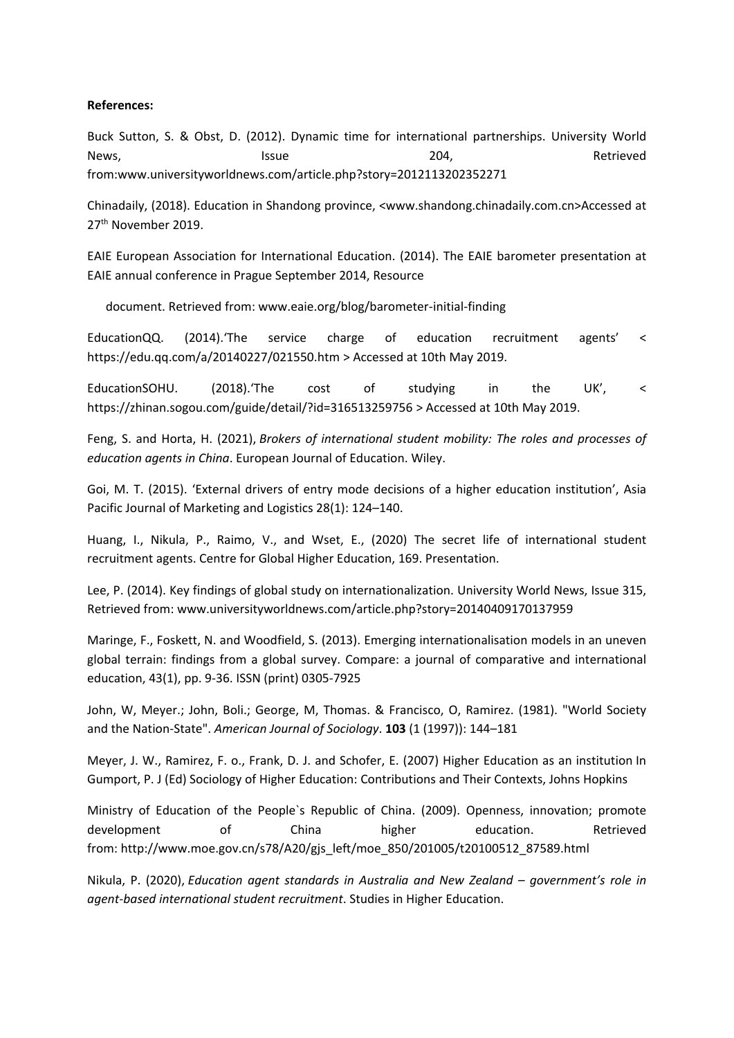## **References:**

Buck Sutton, S. & Obst, D. (2012). Dynamic time for international partnerships. University World News, lssue 204, Retrieved from:www.universityworldnews.com/article.php?story=2012113202352271

Chinadaily, (2018). Education in Shandong province, <www.shandong.chinadaily.com.cn>Accessed at 27<sup>th</sup> November 2019.

EAIE European Association for International Education. (2014). The EAIE barometer presentation at EAIE annual conference in Prague September 2014, Resource

document. Retrieved from: www.eaie.org/blog/barometer-initial-finding

EducationQQ. (2014).'The service charge of education recruitment agents' <sup>&</sup>lt; https://edu.qq.com/a/20140227/021550.htm <sup>&</sup>gt; Accessed at 10th May 2019.

EducationSOHU. (2018).'The cost of studying in the UK', <sup>&</sup>lt; https://zhinan.sogou.com/guide/detail/?id=316513259756 <sup>&</sup>gt; Accessed at 10th May 2019.

Feng, S. and Horta, H. (2021), *Brokers of international student mobility: The roles and processes of education agents in China*. European Journal of Education. Wiley.

Goi, M. T. (2015). 'External drivers of entry mode decisions of <sup>a</sup> higher education institution', Asia Pacific Journal of Marketing and Logistics 28(1): 124–140.

Huang, I., Nikula, P., Raimo, V., and Wset, E., (2020) The secret life of international student recruitment agents. Centre for Global Higher Education, 169. Presentation.

Lee, P. (2014). Key findings of global study on internationalization. University World News, Issue 315, Retrieved from: www.universityworldnews.com/article.php?story=20140409170137959

Maringe, F., Foskett, N. and Woodfield, S. (2013). Emerging internationalisation models in an uneven global terrain: findings from <sup>a</sup> global survey. Compare: <sup>a</sup> journal of comparative and international education, 43(1), pp. 9-36. ISSN (print) 0305-7925

John, W, Meyer.; John, Boli.; George, M, Thomas. & Francisco, O, Ramirez. (1981). "World Society and the Nation-State". *American Journal of Sociology*. **103** (1 (1997)): 144–181

Meyer, J. W., Ramirez, F. o., Frank, D. J. and Schofer, E. (2007) Higher Education as an institution In Gumport, P. J (Ed) Sociology of Higher Education: Contributions and Their Contexts, Johns Hopkins

Ministry of Education of the People`s Republic of China. (2009). Openness, innovation; promote development of China higher education. Retrieved from: http://www.moe.gov.cn/s78/A20/gjs\_left/moe\_850/201005/t20100512\_87589.html

Nikula, P. (2020), *Education agent standards in Australia and New Zealand – government's role in agent-based international student recruitment*. Studies in Higher Education.